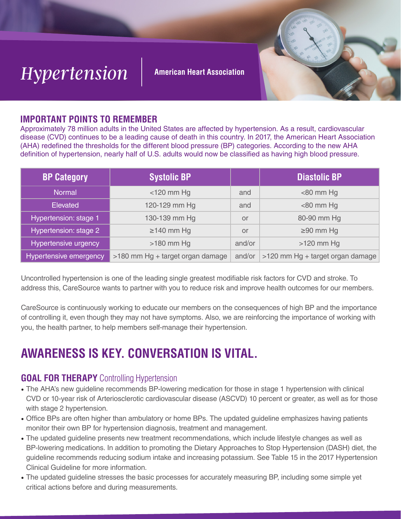

#### **American Heart Association**



# **IMPORTANT POINTS TO REMEMBER**

Approximately 78 million adults in the United States are affected by hypertension. As a result, cardiovascular disease (CVD) continues to be a leading cause of death in this country. In 2017, the American Heart Association (AHA) redefined the thresholds for the different blood pressure (BP) categories. According to the new AHA definition of hypertension, nearly half of U.S. adults would now be classified as having high blood pressure.

| <b>BP Category</b>     | <b>Systolic BP</b>               |        | <b>Diastolic BP</b>              |
|------------------------|----------------------------------|--------|----------------------------------|
| <b>Normal</b>          | $<$ 120 mm Hg                    | and    | $<$ 80 mm Hg                     |
| <b>Elevated</b>        | 120-129 mm Hg                    | and    | $<$ 80 mm Hg                     |
| Hypertension: stage 1  | 130-139 mm Hg                    | or     | 80-90 mm Hg                      |
| Hypertension: stage 2  | $\geq$ 140 mm Hg                 | or     | $\geq$ 90 mm Hg                  |
| Hypertensive urgency   | $>180$ mm Hg                     | and/or | $>120$ mm Hg                     |
| Hypertensive emergency | >180 mm Hg + target organ damage | and/or | >120 mm Hg + target organ damage |

Uncontrolled hypertension is one of the leading single greatest modifiable risk factors for CVD and stroke. To address this, CareSource wants to partner with you to reduce risk and improve health outcomes for our members.

CareSource is continuously working to educate our members on the consequences of high BP and the importance of controlling it, even though they may not have symptoms. Also, we are reinforcing the importance of working with you, the health partner, to help members self-manage their hypertension.

# **AWARENESS IS KEY. CONVERSATION IS VITAL.**

# **GOAL FOR THERAPY** Controlling Hypertension

- The AHA's new guideline recommends BP-lowering medication for those in stage 1 hypertension with clinical CVD or 10-year risk of Arteriosclerotic cardiovascular disease (ASCVD) 10 percent or greater, as well as for those with stage 2 hypertension.
- Office BPs are often higher than ambulatory or home BPs. The updated guideline emphasizes having patients monitor their own BP for hypertension diagnosis, treatment and management.
- The updated guideline presents new treatment recommendations, which include lifestyle changes as well as BP-lowering medications. In addition to promoting the Dietary Approaches to Stop Hypertension (DASH) diet, the guideline recommends reducing sodium intake and increasing potassium. See Table 15 in the 2017 Hypertension Clinical Guideline for more information.
- The updated guideline stresses the basic processes for accurately measuring BP, including some simple yet critical actions before and during measurements.